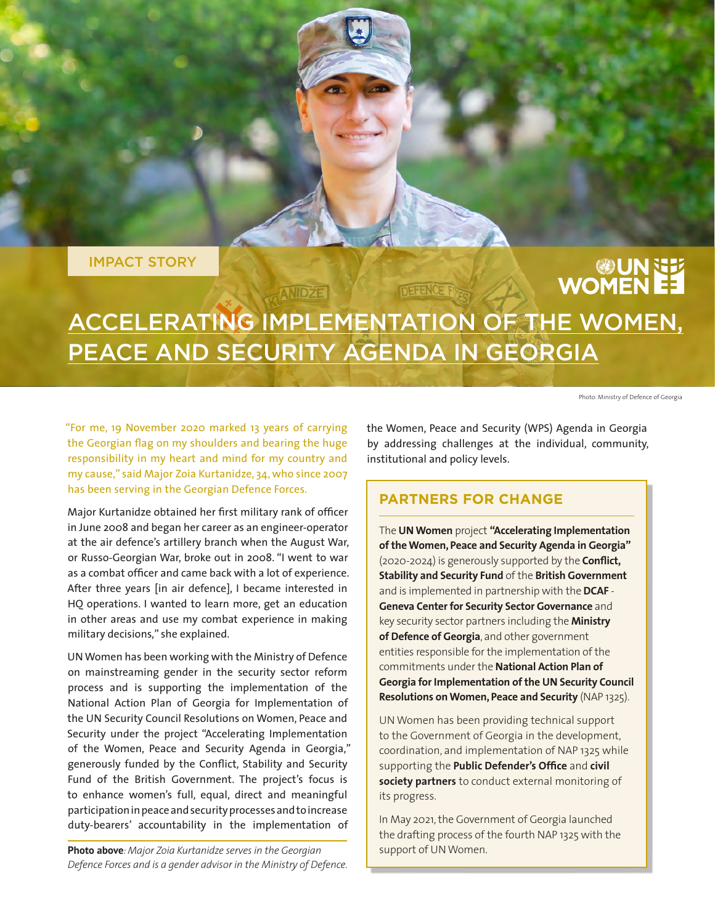IMPACT STORY

# **UNNET**

# ACCELERATING IMPLEMENTATION OF THE WOMEN, PEACE AND SECURITY AGENDA IN GEORGIA

**ANIDZE** 

**DEFENCE F** 

Photo: Ministry of Defence of Georgia

"For me, 19 November 2020 marked 13 years of carrying the Georgian flag on my shoulders and bearing the huge responsibility in my heart and mind for my country and my cause," said Major Zoia Kurtanidze, 34, who since 2007 has been serving in the Georgian Defence Forces.

Major Kurtanidze obtained her first military rank of officer in June 2008 and began her career as an engineer-operator at the air defence's artillery branch when the August War, or Russo-Georgian War, broke out in 2008. "I went to war as a combat officer and came back with a lot of experience. After three years [in air defence], I became interested in HQ operations. I wanted to learn more, get an education in other areas and use my combat experience in making military decisions," she explained.

UN Women has been working with the Ministry of Defence on mainstreaming gender in the security sector reform process and is supporting the implementation of the National Action Plan of Georgia for Implementation of the UN Security Council Resolutions on Women, Peace and Security under the project "Accelerating Implementation of the Women, Peace and Security Agenda in Georgia," generously funded by the Conflict, Stability and Security Fund of the British Government. The project's focus is to enhance women's full, equal, direct and meaningful participation in peace and security processes and to increase duty-bearers' accountability in the implementation of

**Photo above**: Major Zoia Kurtanidze serves in the Georgian support of UN Women. *Defence Forces and is a gender advisor in the Ministry of Defence.*

the Women, Peace and Security (WPS) Agenda in Georgia by addressing challenges at the individual, community, institutional and policy levels.

## **PARTNERS FOR CHANGE**

The **UN Women** project **"Accelerating Implementation of the Women, Peace and Security Agenda in Georgia"** (2020-2024) is generously supported by the **Conflict, Stability and Security Fund** of the **British Government**  and is implemented in partnership with the **DCAF** - **Geneva Center for Security Sector Governance** and key security sector partners including the **Ministry of Defence of Georgia**, and other government entities responsible for the implementation of the commitments under the **National Action Plan of Georgia for Implementation of the UN Security Council Resolutions on Women, Peace and Security** (NAP 1325).

UN Women has been providing technical support to the Government of Georgia in the development, coordination, and implementation of NAP 1325 while supporting the **Public Defender's Office** and **civil society partners** to conduct external monitoring of its progress.

In May 2021, the Government of Georgia launched the drafting process of the fourth NAP 1325 with the